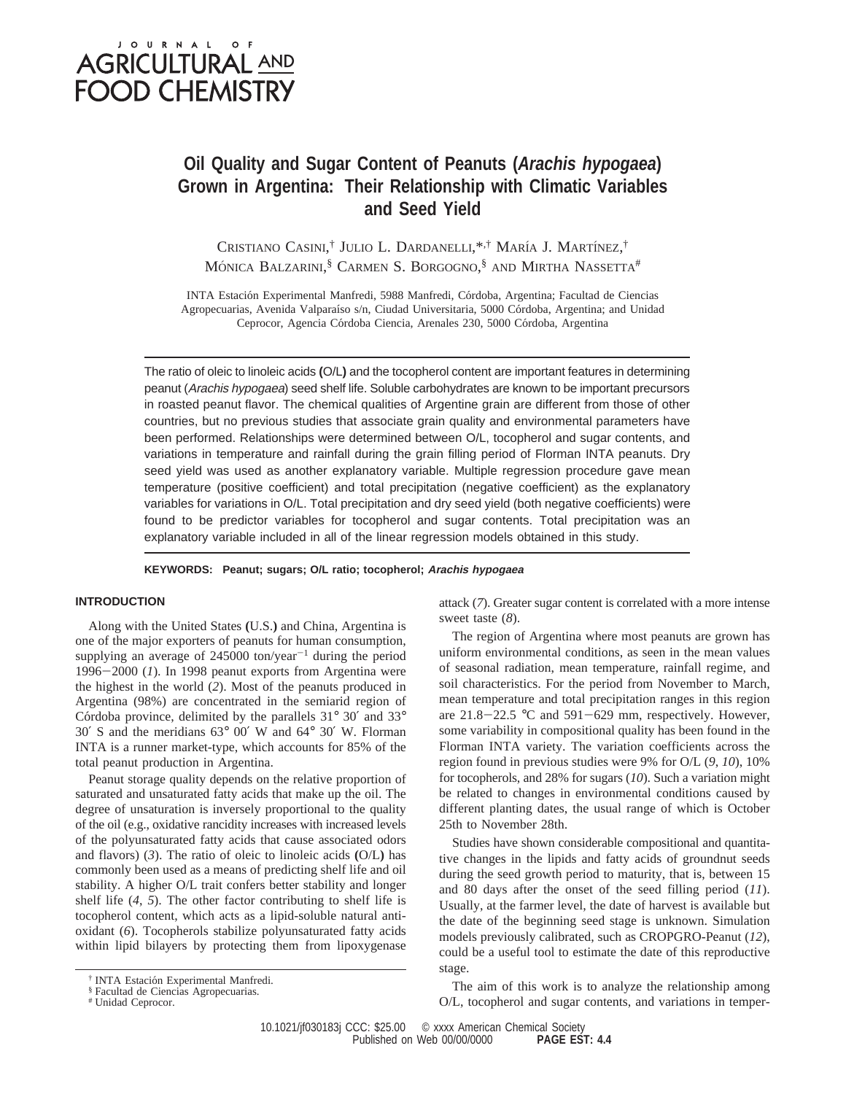# JOURNAL OF **AGRICULTURAL AND FOOD CHEMISTRY**

## **Oil Quality and Sugar Content of Peanuts (***Arachis hypogaea***) Grown in Argentina: Their Relationship with Climatic Variables and Seed Yield**

CRISTIANO CASINI,<sup>†</sup> JULIO L. DARDANELLI,<sup>\*,†</sup> MARÍA J. MARTÍNEZ,<sup>†</sup> Mónica Balzarini,<sup>§</sup> Carmen S. Borgogno,§ and Mirtha Nassetta<sup>#</sup>

INTA Estación Experimental Manfredi, 5988 Manfredi, Córdoba, Argentina; Facultad de Ciencias Agropecuarias, Avenida Valparaíso s/n, Ciudad Universitaria, 5000 Córdoba, Argentina; and Unidad Ceprocor, Agencia Córdoba Ciencia, Arenales 230, 5000 Córdoba, Argentina

The ratio of oleic to linoleic acids **(**O/L**)** and the tocopherol content are important features in determining peanut (Arachis hypogaea) seed shelf life. Soluble carbohydrates are known to be important precursors in roasted peanut flavor. The chemical qualities of Argentine grain are different from those of other countries, but no previous studies that associate grain quality and environmental parameters have been performed. Relationships were determined between O/L, tocopherol and sugar contents, and variations in temperature and rainfall during the grain filling period of Florman INTA peanuts. Dry seed yield was used as another explanatory variable. Multiple regression procedure gave mean temperature (positive coefficient) and total precipitation (negative coefficient) as the explanatory variables for variations in O/L. Total precipitation and dry seed yield (both negative coefficients) were found to be predictor variables for tocopherol and sugar contents. Total precipitation was an explanatory variable included in all of the linear regression models obtained in this study.

**KEYWORDS: Peanut; sugars; O/L ratio; tocopherol; Arachis hypogaea**

### **INTRODUCTION**

Along with the United States **(**U.S.**)** and China, Argentina is one of the major exporters of peanuts for human consumption, supplying an average of  $245000$  ton/year<sup>-1</sup> during the period <sup>1996</sup>-2000 (*1*). In 1998 peanut exports from Argentina were the highest in the world (*2*). Most of the peanuts produced in Argentina (98%) are concentrated in the semiarid region of Córdoba province, delimited by the parallels  $31^\circ$   $30'$  and  $33^\circ$ 30′ S and the meridians 63° 00′ W and 64° 30′ W. Florman INTA is a runner market-type, which accounts for 85% of the total peanut production in Argentina.

Peanut storage quality depends on the relative proportion of saturated and unsaturated fatty acids that make up the oil. The degree of unsaturation is inversely proportional to the quality of the oil (e.g., oxidative rancidity increases with increased levels of the polyunsaturated fatty acids that cause associated odors and flavors) (*3*). The ratio of oleic to linoleic acids **(**O/L**)** has commonly been used as a means of predicting shelf life and oil stability. A higher O/L trait confers better stability and longer shelf life (*4*, *5*). The other factor contributing to shelf life is tocopherol content, which acts as a lipid-soluble natural antioxidant (*6*). Tocopherols stabilize polyunsaturated fatty acids within lipid bilayers by protecting them from lipoxygenase

# Unidad Ceprocor.

attack (*7*). Greater sugar content is correlated with a more intense sweet taste (*8*).

The region of Argentina where most peanuts are grown has uniform environmental conditions, as seen in the mean values of seasonal radiation, mean temperature, rainfall regime, and soil characteristics. For the period from November to March, mean temperature and total precipitation ranges in this region are  $21.8-22.5$  °C and  $591-629$  mm, respectively. However, some variability in compositional quality has been found in the Florman INTA variety. The variation coefficients across the region found in previous studies were 9% for O/L (*9*, *10*), 10% for tocopherols, and 28% for sugars (*10*). Such a variation might be related to changes in environmental conditions caused by different planting dates, the usual range of which is October 25th to November 28th.

Studies have shown considerable compositional and quantitative changes in the lipids and fatty acids of groundnut seeds during the seed growth period to maturity, that is, between 15 and 80 days after the onset of the seed filling period (*11*). Usually, at the farmer level, the date of harvest is available but the date of the beginning seed stage is unknown. Simulation models previously calibrated, such as CROPGRO-Peanut (*12*), could be a useful tool to estimate the date of this reproductive stage.

The aim of this work is to analyze the relationship among O/L, tocopherol and sugar contents, and variations in temper-

10.1021/jf030183j CCC: \$25.00 © xxxx American Chemical Society<br>PAGE EST: 4.4 Published on Web 00/00/0000

<sup>&</sup>lt;sup>†</sup> INTA Estación Experimental Manfredi.

<sup>§</sup> Facultad de Ciencias Agropecuarias.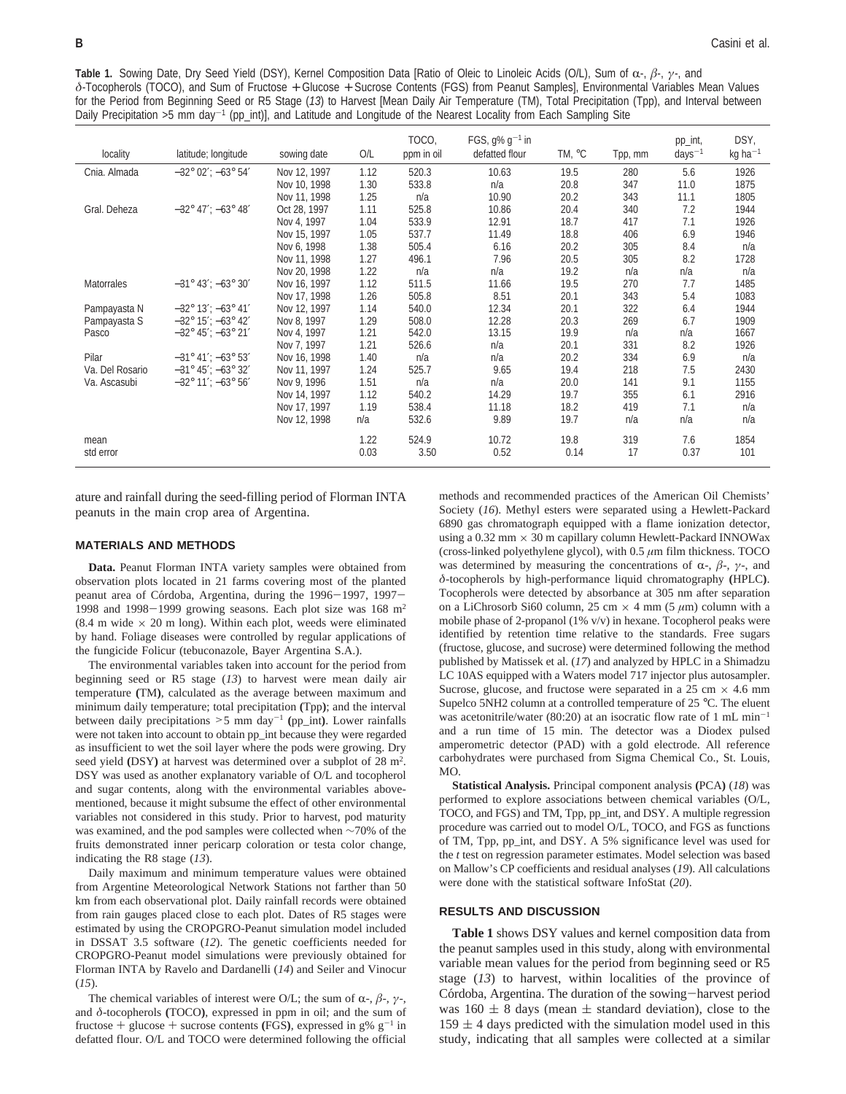**Table 1.** Sowing Date, Dry Seed Yield (DSY), Kernel Composition Data [Ratio of Oleic to Linoleic Acids (O/L), Sum of R-, *<sup>â</sup>*-, *<sup>γ</sup>*-, and  $\delta$ -Tocopherols (TOCO), and Sum of Fructose + Glucose + Sucrose Contents (FGS) from Peanut Samples], Environmental Variables Mean Values for the Period from Beginning Seed or R5 Stage (*13*) to Harvest [Mean Daily Air Temperature (TM), Total Precipitation (Tpp), and Interval between Daily Precipitation >5 mm day-1 (pp\_int)], and Latitude and Longitude of the Nearest Locality from Each Sampling Site

| locality          | latitude; longitude                   | sowing date  | O/L  | TOCO,<br>ppm in oil | FGS, $q\% q^{-1}$ in<br>defatted flour | TM, °C | Tpp, mm | pp_int,<br>$days^{-1}$ | DSY,<br>$kg$ ha <sup>-1</sup> |
|-------------------|---------------------------------------|--------------|------|---------------------|----------------------------------------|--------|---------|------------------------|-------------------------------|
|                   |                                       |              |      |                     |                                        |        |         |                        |                               |
| Cnia. Almada      | $-32^{\circ}$ 02'; $-63^{\circ}$ 54'  | Nov 12, 1997 | 1.12 | 520.3               | 10.63                                  | 19.5   | 280     | 5.6                    | 1926                          |
|                   |                                       | Nov 10, 1998 | 1.30 | 533.8               | n/a                                    | 20.8   | 347     | 11.0                   | 1875                          |
|                   |                                       | Nov 11, 1998 | 1.25 | n/a                 | 10.90                                  | 20.2   | 343     | 11.1                   | 1805                          |
| Gral. Deheza      | $-32^{\circ}$ 47': $-63^{\circ}$ 48'  | Oct 28, 1997 | 1.11 | 525.8               | 10.86                                  | 20.4   | 340     | 7.2                    | 1944                          |
|                   |                                       | Nov 4, 1997  | 1.04 | 533.9               | 12.91                                  | 18.7   | 417     | 7.1                    | 1926                          |
|                   |                                       | Nov 15, 1997 | 1.05 | 537.7               | 11.49                                  | 18.8   | 406     | 6.9                    | 1946                          |
|                   |                                       | Nov 6, 1998  | 1.38 | 505.4               | 6.16                                   | 20.2   | 305     | 8.4                    | n/a                           |
|                   |                                       | Nov 11, 1998 | 1.27 | 496.1               | 7.96                                   | 20.5   | 305     | 8.2                    | 1728                          |
|                   |                                       | Nov 20, 1998 | 1.22 | n/a                 | n/a                                    | 19.2   | n/a     | n/a                    | n/a                           |
| <b>Matorrales</b> | $-31^{\circ}$ 43'; $-63^{\circ}$ 30'  | Nov 16, 1997 | 1.12 | 511.5               | 11.66                                  | 19.5   | 270     | 7.7                    | 1485                          |
|                   |                                       | Nov 17, 1998 | 1.26 | 505.8               | 8.51                                   | 20.1   | 343     | 5.4                    | 1083                          |
| Pampayasta N      | $-32^{\circ}$ 13': $-63^{\circ}$ 41'  | Nov 12, 1997 | 1.14 | 540.0               | 12.34                                  | 20.1   | 322     | 6.4                    | 1944                          |
| Pampayasta S      | $-32^{\circ} 15'$ ; $-63^{\circ} 42'$ | Nov 8, 1997  | 1.29 | 508.0               | 12.28                                  | 20.3   | 269     | 6.7                    | 1909                          |
| Pasco             | $-32^{\circ}$ 45'; $-63^{\circ}$ 21'  | Nov 4, 1997  | 1.21 | 542.0               | 13.15                                  | 19.9   | n/a     | n/a                    | 1667                          |
|                   |                                       | Nov 7, 1997  | 1.21 | 526.6               | n/a                                    | 20.1   | 331     | 8.2                    | 1926                          |
| Pilar             | $-31^{\circ}$ 41': $-63^{\circ}$ 53'  | Nov 16, 1998 | 1.40 | n/a                 | n/a                                    | 20.2   | 334     | 6.9                    | n/a                           |
| Va. Del Rosario   | $-31^{\circ} 45'$ : $-63^{\circ} 32'$ | Nov 11, 1997 | 1.24 | 525.7               | 9.65                                   | 19.4   | 218     | 7.5                    | 2430                          |
| Va. Ascasubi      | $-32^{\circ}$ 11': $-63^{\circ}$ 56'  | Nov 9, 1996  | 1.51 | n/a                 | n/a                                    | 20.0   | 141     | 9.1                    | 1155                          |
|                   |                                       | Nov 14, 1997 | 1.12 | 540.2               | 14.29                                  | 19.7   | 355     | 6.1                    | 2916                          |
|                   |                                       | Nov 17, 1997 | 1.19 | 538.4               | 11.18                                  | 18.2   | 419     | 7.1                    | n/a                           |
|                   |                                       | Nov 12, 1998 | n/a  | 532.6               | 9.89                                   | 19.7   | n/a     | n/a                    | n/a                           |
| mean              |                                       |              | 1.22 | 524.9               | 10.72                                  | 19.8   | 319     | 7.6                    | 1854                          |
| std error         |                                       |              | 0.03 | 3.50                | 0.52                                   | 0.14   | 17      | 0.37                   | 101                           |

ature and rainfall during the seed-filling period of Florman INTA peanuts in the main crop area of Argentina.

#### **MATERIALS AND METHODS**

**Data.** Peanut Florman INTA variety samples were obtained from observation plots located in 21 farms covering most of the planted peanut area of Córdoba, Argentina, during the 1996-1997, 1997-1998 and 1998-1999 growing seasons. Each plot size was 168 m2  $(8.4 \text{ m wide} \times 20 \text{ m long})$ . Within each plot, weeds were eliminated by hand. Foliage diseases were controlled by regular applications of the fungicide Folicur (tebuconazole, Bayer Argentina S.A.).

The environmental variables taken into account for the period from beginning seed or R5 stage (*13*) to harvest were mean daily air temperature **(**TM**)**, calculated as the average between maximum and minimum daily temperature; total precipitation **(**Tpp**)**; and the interval between daily precipitations  $>5$  mm day<sup>-1</sup> (pp\_int). Lower rainfalls were not taken into account to obtain pp\_int because they were regarded as insufficient to wet the soil layer where the pods were growing. Dry seed yield **(**DSY**)** at harvest was determined over a subplot of 28 m2. DSY was used as another explanatory variable of O/L and tocopherol and sugar contents, along with the environmental variables abovementioned, because it might subsume the effect of other environmental variables not considered in this study. Prior to harvest, pod maturity was examined, and the pod samples were collected when ∼70% of the fruits demonstrated inner pericarp coloration or testa color change, indicating the R8 stage (*13*).

Daily maximum and minimum temperature values were obtained from Argentine Meteorological Network Stations not farther than 50 km from each observational plot. Daily rainfall records were obtained from rain gauges placed close to each plot. Dates of R5 stages were estimated by using the CROPGRO-Peanut simulation model included in DSSAT 3.5 software (*12*). The genetic coefficients needed for CROPGRO-Peanut model simulations were previously obtained for Florman INTA by Ravelo and Dardanelli (*14*) and Seiler and Vinocur (*15*).

The chemical variables of interest were O/L; the sum of  $\alpha$ -,  $\beta$ -,  $\gamma$ -, and  $\delta$ -tocopherols (TOCO), expressed in ppm in oil; and the sum of fructose + glucose + sucrose contents (FGS), expressed in  $g\%$   $g^{-1}$  in defatted flour. O/L and TOCO were determined following the official

methods and recommended practices of the American Oil Chemists' Society (*16*). Methyl esters were separated using a Hewlett-Packard 6890 gas chromatograph equipped with a flame ionization detector, using a 0.32 mm  $\times$  30 m capillary column Hewlett-Packard INNOWax (cross-linked polyethylene glycol), with 0.5 *µ*m film thickness. TOCO was determined by measuring the concentrations of  $\alpha$ -,  $\beta$ -,  $\gamma$ -, and *δ*-tocopherols by high-performance liquid chromatography **(**HPLC**)**. Tocopherols were detected by absorbance at 305 nm after separation on a LiChrosorb Si60 column, 25 cm  $\times$  4 mm (5  $\mu$ m) column with a mobile phase of 2-propanol (1% v/v) in hexane. Tocopherol peaks were identified by retention time relative to the standards. Free sugars (fructose, glucose, and sucrose) were determined following the method published by Matissek et al. (*17*) and analyzed by HPLC in a Shimadzu LC 10AS equipped with a Waters model 717 injector plus autosampler. Sucrose, glucose, and fructose were separated in a  $25 \text{ cm} \times 4.6 \text{ mm}$ Supelco 5NH2 column at a controlled temperature of 25 °C. The eluent was acetonitrile/water (80:20) at an isocratic flow rate of  $1 \text{ mL min}^{-1}$ and a run time of 15 min. The detector was a Diodex pulsed amperometric detector (PAD) with a gold electrode. All reference carbohydrates were purchased from Sigma Chemical Co., St. Louis, MO.

**Statistical Analysis.** Principal component analysis **(**PCA**)** (*18*) was performed to explore associations between chemical variables (O/L, TOCO, and FGS) and TM, Tpp, pp\_int, and DSY. A multiple regression procedure was carried out to model O/L, TOCO, and FGS as functions of TM, Tpp, pp\_int, and DSY. A 5% significance level was used for the *t* test on regression parameter estimates. Model selection was based on Mallow's CP coefficients and residual analyses (*19*). All calculations were done with the statistical software InfoStat (*20*).

#### **RESULTS AND DISCUSSION**

**Table 1** shows DSY values and kernel composition data from the peanut samples used in this study, along with environmental variable mean values for the period from beginning seed or R5 stage (*13*) to harvest, within localities of the province of Córdoba, Argentina. The duration of the sowing-harvest period was 160  $\pm$  8 days (mean  $\pm$  standard deviation), close to the  $159 \pm 4$  days predicted with the simulation model used in this study, indicating that all samples were collected at a similar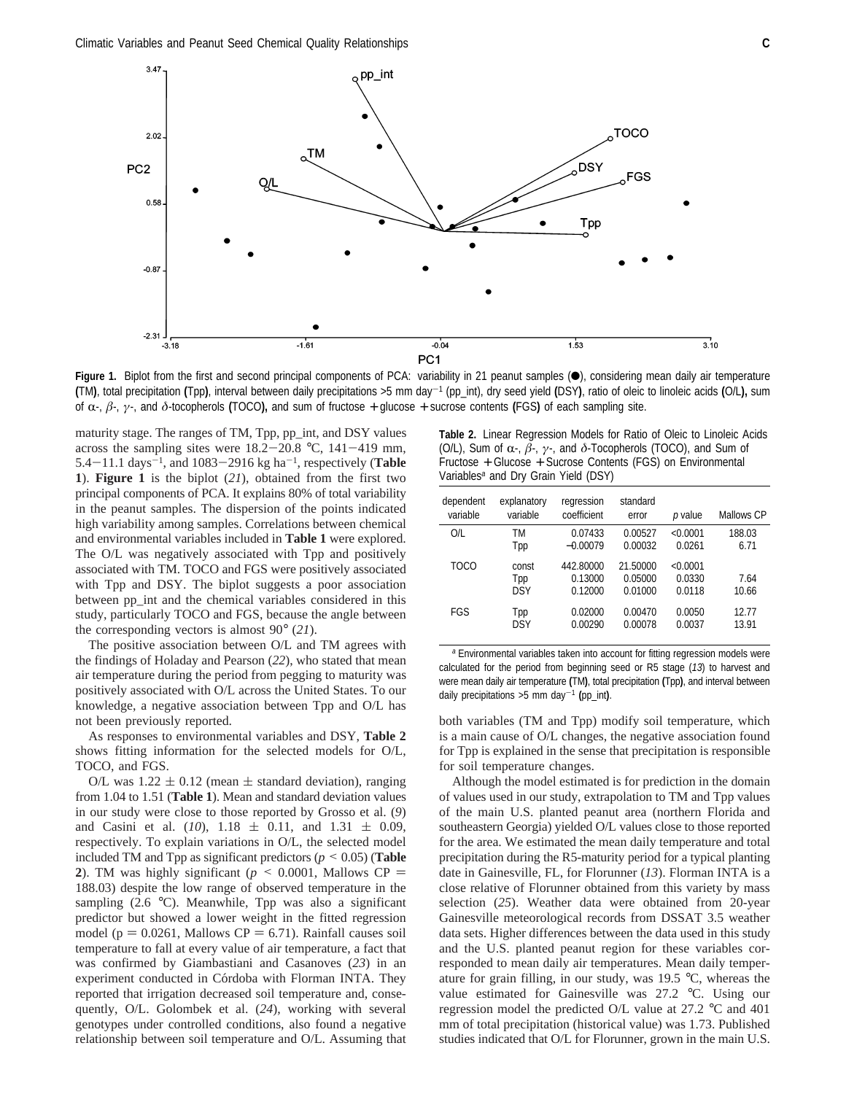

Figure 1. Biplot from the first and second principal components of PCA: variability in 21 peanut samples ( $\bullet$ ), considering mean daily air temperature **(**TM**)**, total precipitation **(**Tpp**)**, interval between daily precipitations >5 mm day-<sup>1</sup> (pp\_int), dry seed yield **(**DSY**)**, ratio of oleic to linoleic acids **(**O/L**),** sum of R-, *<sup>â</sup>*-, *<sup>γ</sup>*-, and *<sup>δ</sup>*-tocopherols **(**TOCO**),** and sum of fructose <sup>+</sup> glucose <sup>+</sup> sucrose contents **(**FGS**)** of each sampling site.

maturity stage. The ranges of TM, Tpp, pp\_int, and DSY values across the sampling sites were  $18.2-20.8$  °C,  $141-419$  mm, 5.4 $-11.1$  days<sup> $-1$ </sup>, and 1083 $-2916$  kg ha<sup> $-1$ </sup>, respectively (**Table 1**). **Figure 1** is the biplot (*21*), obtained from the first two principal components of PCA. It explains 80% of total variability in the peanut samples. The dispersion of the points indicated high variability among samples. Correlations between chemical and environmental variables included in **Table 1** were explored. The O/L was negatively associated with Tpp and positively associated with TM. TOCO and FGS were positively associated with Tpp and DSY. The biplot suggests a poor association between pp\_int and the chemical variables considered in this study, particularly TOCO and FGS, because the angle between the corresponding vectors is almost 90° (*21*).

The positive association between O/L and TM agrees with the findings of Holaday and Pearson (*22*), who stated that mean air temperature during the period from pegging to maturity was positively associated with O/L across the United States. To our knowledge, a negative association between Tpp and O/L has not been previously reported.

As responses to environmental variables and DSY, **Table 2** shows fitting information for the selected models for O/L, TOCO, and FGS.

O/L was  $1.22 \pm 0.12$  (mean  $\pm$  standard deviation), ranging from 1.04 to 1.51 (**Table 1**). Mean and standard deviation values in our study were close to those reported by Grosso et al. (*9*) and Casini et al.  $(10)$ ,  $1.18 \pm 0.11$ , and  $1.31 \pm 0.09$ , respectively. To explain variations in O/L, the selected model included TM and Tpp as significant predictors ( $p \le 0.05$ ) (**Table** 2). TM was highly significant ( $p \le 0.0001$ , Mallows CP = 188.03) despite the low range of observed temperature in the sampling  $(2.6 \degree C)$ . Meanwhile, Tpp was also a significant predictor but showed a lower weight in the fitted regression model ( $p = 0.0261$ , Mallows CP = 6.71). Rainfall causes soil temperature to fall at every value of air temperature, a fact that was confirmed by Giambastiani and Casanoves (*23*) in an experiment conducted in Córdoba with Florman INTA. They reported that irrigation decreased soil temperature and, consequently, O/L. Golombek et al. (*24*), working with several genotypes under controlled conditions, also found a negative relationship between soil temperature and O/L. Assuming that

**Table 2.** Linear Regression Models for Ratio of Oleic to Linoleic Acids (O/L), Sum of R-, *<sup>â</sup>*-, *<sup>γ</sup>*-, and *<sup>δ</sup>*-Tocopherols (TOCO), and Sum of Fructose + Glucose + Sucrose Contents (FGS) on Environmental Variables*<sup>a</sup>* and Dry Grain Yield (DSY)

| dependent<br>variable | explanatory<br>variable    | regression<br>coefficient       | standard<br>error              | p value                      | Mallows CP    |
|-----------------------|----------------------------|---------------------------------|--------------------------------|------------------------------|---------------|
| O/L                   | ТM                         | 0.07433                         | 0.00527                        | < 0.0001                     | 188.03        |
|                       | Tpp                        | $-0.00079$                      | 0.00032                        | 0.0261                       | 6.71          |
| TOCO                  | const<br>Tpp<br><b>DSY</b> | 442,80000<br>0.13000<br>0.12000 | 21.50000<br>0.05000<br>0.01000 | < 0.0001<br>0.0330<br>0.0118 | 7.64<br>10.66 |
| FGS                   | Tpp                        | 0.02000                         | 0.00470                        | 0.0050                       | 12.77         |
|                       | <b>DSY</b>                 | 0.00290                         | 0.00078                        | 0.0037                       | 13.91         |

*<sup>a</sup>* Environmental variables taken into account for fitting regression models were calculated for the period from beginning seed or R5 stage (*13*) to harvest and were mean daily air temperature **(**TM**)**, total precipitation **(**Tpp**)**, and interval between daily precipitations >5 mm day-<sup>1</sup> **(**pp\_int**)**.

both variables (TM and Tpp) modify soil temperature, which is a main cause of O/L changes, the negative association found for Tpp is explained in the sense that precipitation is responsible for soil temperature changes.

Although the model estimated is for prediction in the domain of values used in our study, extrapolation to TM and Tpp values of the main U.S. planted peanut area (northern Florida and southeastern Georgia) yielded O/L values close to those reported for the area. We estimated the mean daily temperature and total precipitation during the R5-maturity period for a typical planting date in Gainesville, FL, for Florunner (*13*). Florman INTA is a close relative of Florunner obtained from this variety by mass selection (*25*). Weather data were obtained from 20-year Gainesville meteorological records from DSSAT 3.5 weather data sets. Higher differences between the data used in this study and the U.S. planted peanut region for these variables corresponded to mean daily air temperatures. Mean daily temperature for grain filling, in our study, was 19.5 °C, whereas the value estimated for Gainesville was 27.2 °C. Using our regression model the predicted O/L value at 27.2 °C and 401 mm of total precipitation (historical value) was 1.73. Published studies indicated that O/L for Florunner, grown in the main U.S.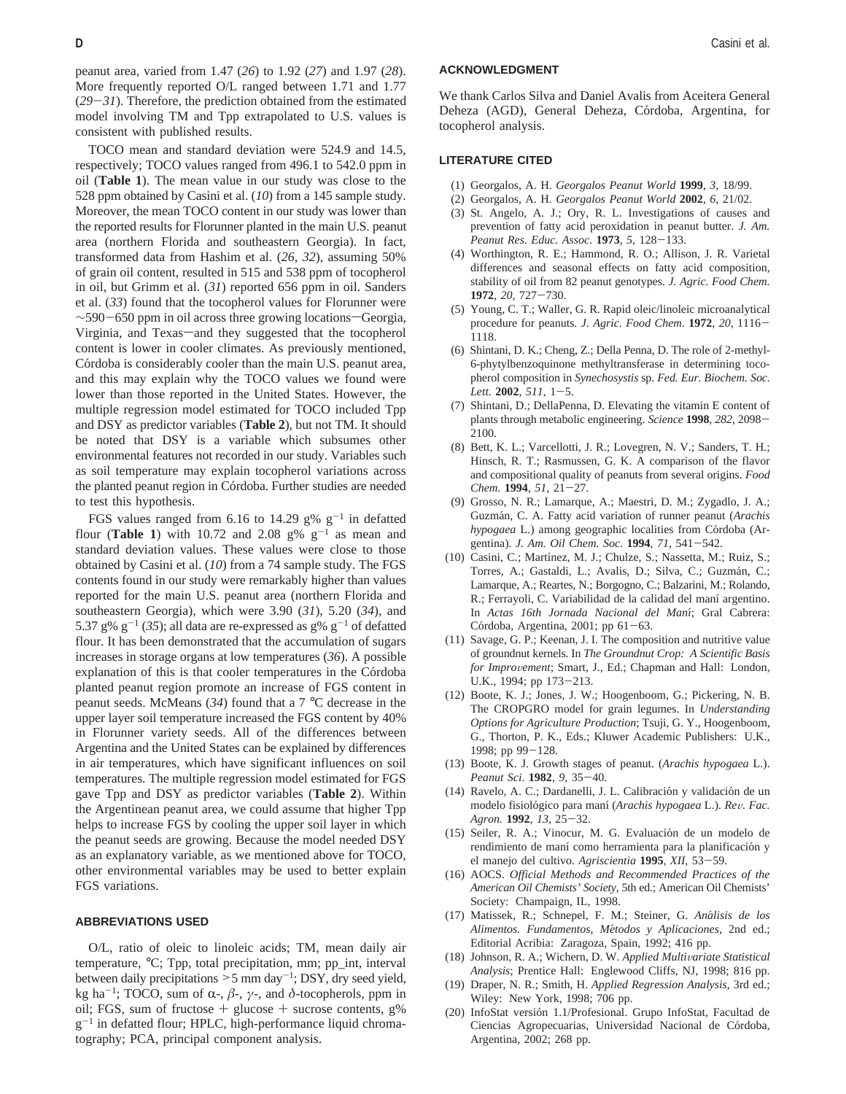peanut area, varied from 1.47 (*26*) to 1.92 (*27*) and 1.97 (*28*). More frequently reported O/L ranged between 1.71 and 1.77 (*29*-*31*). Therefore, the prediction obtained from the estimated model involving TM and Tpp extrapolated to U.S. values is consistent with published results.

TOCO mean and standard deviation were 524.9 and 14.5, respectively; TOCO values ranged from 496.1 to 542.0 ppm in oil (**Table 1**). The mean value in our study was close to the 528 ppm obtained by Casini et al. (*10*) from a 145 sample study. Moreover, the mean TOCO content in our study was lower than the reported results for Florunner planted in the main U.S. peanut area (northern Florida and southeastern Georgia). In fact, transformed data from Hashim et al. (*26*, *32*), assuming 50% of grain oil content, resulted in 515 and 538 ppm of tocopherol in oil, but Grimm et al. (*31*) reported 656 ppm in oil. Sanders et al. (*33*) found that the tocopherol values for Florunner were ~590-650 ppm in oil across three growing locations-Georgia, Virginia, and Texas-and they suggested that the tocopherol content is lower in cooler climates. As previously mentioned, Córdoba is considerably cooler than the main U.S. peanut area, and this may explain why the TOCO values we found were lower than those reported in the United States. However, the multiple regression model estimated for TOCO included Tpp and DSY as predictor variables (**Table 2**), but not TM. It should be noted that DSY is a variable which subsumes other environmental features not recorded in our study. Variables such as soil temperature may explain tocopherol variations across the planted peanut region in Córdoba. Further studies are needed to test this hypothesis.

FGS values ranged from 6.16 to 14.29 g%  $g^{-1}$  in defatted flour (**Table 1**) with 10.72 and 2.08  $g\%$   $g^{-1}$  as mean and standard deviation values. These values were close to those obtained by Casini et al. (*10*) from a 74 sample study. The FGS contents found in our study were remarkably higher than values reported for the main U.S. peanut area (northern Florida and southeastern Georgia), which were 3.90 (*31*), 5.20 (*34*), and 5.37 g%  $g^{-1}$  (35); all data are re-expressed as g%  $g^{-1}$  of defatted flour. It has been demonstrated that the accumulation of sugars increases in storage organs at low temperatures (*36*). A possible explanation of this is that cooler temperatures in the Córdoba planted peanut region promote an increase of FGS content in peanut seeds. McMeans (*34*) found that a 7 °C decrease in the upper layer soil temperature increased the FGS content by 40% in Florunner variety seeds. All of the differences between Argentina and the United States can be explained by differences in air temperatures, which have significant influences on soil temperatures. The multiple regression model estimated for FGS gave Tpp and DSY as predictor variables (**Table 2**). Within the Argentinean peanut area, we could assume that higher Tpp helps to increase FGS by cooling the upper soil layer in which the peanut seeds are growing. Because the model needed DSY as an explanatory variable, as we mentioned above for TOCO, other environmental variables may be used to better explain FGS variations.

#### **ABBREVIATIONS USED**

O/L, ratio of oleic to linoleic acids; TM, mean daily air temperature, °C; Tpp, total precipitation, mm; pp\_int, interval between daily precipitations  $>5$  mm day<sup>-1</sup>; DSY, dry seed yield, kg ha<sup>-1</sup>; TOCO, sum of α-,  $β$ -,  $γ$ -, and  $δ$ -tocopherols, ppm in oil; FGS, sum of fructose  $+$  glucose  $+$  sucrose contents, g%  $g^{-1}$  in defatted flour; HPLC, high-performance liquid chromatography; PCA, principal component analysis.

#### **ACKNOWLEDGMENT**

We thank Carlos Silva and Daniel Avalis from Aceitera General Deheza (AGD), General Deheza, Córdoba, Argentina, for tocopherol analysis.

#### **LITERATURE CITED**

- (1) Georgalos, A. H. *Georgalos Peanut World* **1999**, *3*, 18/99.
- (2) Georgalos, A. H. *Georgalos Peanut World* **2002**, *6*, 21/02.
- (3) St. Angelo, A. J.; Ory, R. L. Investigations of causes and prevention of fatty acid peroxidation in peanut butter. *J. Am. Peanut Res. Educ. Assoc.* **<sup>1973</sup>**, *<sup>5</sup>*, 128-133.
- (4) Worthington, R. E.; Hammond, R. O.; Allison, J. R. Varietal differences and seasonal effects on fatty acid composition, stability of oil from 82 peanut genotypes. *J. Agric. Food Chem.* **<sup>1972</sup>**, *<sup>20</sup>*, 727-730.
- (5) Young, C. T.; Waller, G. R. Rapid oleic/linoleic microanalytical procedure for peanuts*. J. Agric. Food Chem*. **<sup>1972</sup>**, *<sup>20</sup>*, 1116- 1118.
- (6) Shintani, D. K.; Cheng, Z.; Della Penna, D. The role of 2-methyl-6-phytylbenzoquinone methyltransferase in determining tocopherol composition in *Synechosystis* sp. *Fed. Eur. Biochem. Soc. Lett.* **<sup>2002</sup>**, *<sup>511</sup>*, 1-5.
- (7) Shintani, D.; DellaPenna, D. Elevating the vitamin E content of plants through metabolic engineering. *Science* **<sup>1998</sup>**, *<sup>282</sup>*, 2098- 2100.
- (8) Bett, K. L.; Varcellotti, J. R.; Lovegren, N. V.; Sanders, T. H.; Hinsch, R. T.; Rasmussen, G. K. A comparison of the flavor and compositional quality of peanuts from several origins. *Food Chem.* **<sup>1994</sup>**, *<sup>51</sup>*, 21-27.
- (9) Grosso, N. R.; Lamarque, A.; Maestri, D. M.; Zygadlo, J. A.; Guzma´n, C. A. Fatty acid variation of runner peanut (*Arachis hypogaea* L.) among geographic localities from Córdoba (Argentina). *J. Am. Oil Chem. Soc*. **<sup>1994</sup>**, *<sup>71</sup>*, 541-542.
- (10) Casini, C.; Martínez, M. J.; Chulze, S.; Nassetta, M.; Ruiz, S.; Torres, A.; Gastaldi, L.; Avalis, D.; Silva, C.; Guzmán, C.; Lamarque, A.; Reartes, N.; Borgogno, C.; Balzarini, M.; Rolando, R.; Ferrayoli, C. Variabilidad de la calidad del maní argentino. In *Actas 16th Jornada Nacional del Manı*´; Gral Cabrera: Córdoba, Argentina, 2001; pp  $61-63$ .
- (11) Savage, G. P.; Keenan, J. I. The composition and nutritive value of groundnut kernels. In *The Groundnut Crop: A Scientific Basis for Improvement*; Smart, J., Ed.; Chapman and Hall: London, U.K., 1994; pp 173-213.
- (12) Boote, K. J.; Jones, J. W.; Hoogenboom, G.; Pickering, N. B. The CROPGRO model for grain legumes. In *Understanding Options for Agriculture Production*; Tsuji, G. Y., Hoogenboom, G., Thorton, P. K., Eds.; Kluwer Academic Publishers: U.K., 1998; pp 99-128.
- (13) Boote, K. J. Growth stages of peanut. (*Arachis hypogaea* L.). *Peanut Sci*. **<sup>1982</sup>**, *<sup>9</sup>*, 35-40.
- (14) Ravelo, A. C.; Dardanelli, J. L. Calibración y validación de un modelo fisiolo´gico para manı´ (*Arachis hypogaea* L.). *Re*V*. Fac. Agron.* **<sup>1992</sup>**, *<sup>13</sup>*, 25-32.
- (15) Seiler, R. A.; Vinocur, M. G. Evaluación de un modelo de rendimiento de maní como herramienta para la planificación y el manejo del cultivo. *Agriscientia* **<sup>1995</sup>**, *XII*, 53-59.
- (16) AOCS. *Official Methods and Recommended Practices of the American Oil Chemists' Society*, 5th ed.; American Oil Chemists' Society: Champaign, IL, 1998.
- (17) Matissek, R.; Schnepel, F. M.; Steiner, G. *Ana*´*lisis de los Alimentos. Fundamentos, Me*´*todos y Aplicaciones*, 2nd ed.; Editorial Acribia: Zaragoza, Spain, 1992; 416 pp.
- (18) Johnson, R. A.; Wichern, D. W. Applied Multivariate Statistical *Analysis*; Prentice Hall: Englewood Cliffs, NJ, 1998; 816 pp.
- (19) Draper, N. R.; Smith, H. *Applied Regression Analysis*, 3rd ed.; Wiley: New York, 1998; 706 pp.
- (20) InfoStat versión 1.1/Profesional. Grupo InfoStat, Facultad de Ciencias Agropecuarias, Universidad Nacional de Córdoba, Argentina, 2002; 268 pp.